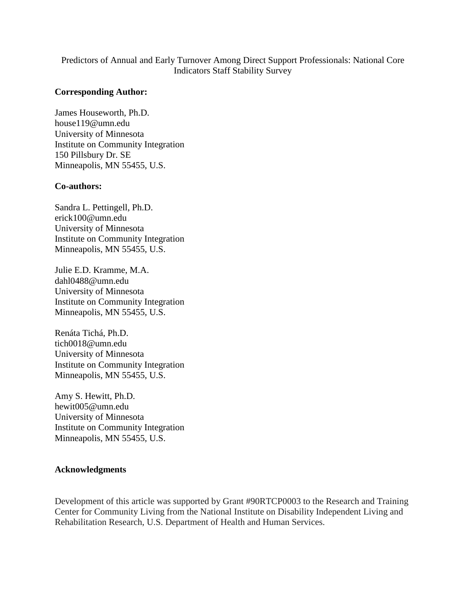# Predictors of Annual and Early Turnover Among Direct Support Professionals: National Core Indicators Staff Stability Survey

# **Corresponding Author:**

James Houseworth, Ph.D. [house119@umn.edu](mailto:house119@umn.edu) University of Minnesota Institute on Community Integration 150 Pillsbury Dr. SE Minneapolis, MN 55455, U.S.

# **Co-authors:**

Sandra L. Pettingell, Ph.D. erick100@umn.edu University of Minnesota Institute on Community Integration Minneapolis, MN 55455, U.S.

Julie E.D. Kramme, M.A. dahl0488@umn.edu University of Minnesota Institute on Community Integration Minneapolis, MN 55455, U.S.

Renáta Tichá, Ph.D. tich0018@umn.edu University of Minnesota Institute on Community Integration Minneapolis, MN 55455, U.S.

Amy S. Hewitt, Ph.D. hewit005@umn.edu University of Minnesota Institute on Community Integration Minneapolis, MN 55455, U.S.

# **Acknowledgments**

Development of this article was supported by Grant #90RTCP0003 to the Research and Training Center for Community Living from the National Institute on Disability Independent Living and Rehabilitation Research, U.S. Department of Health and Human Services.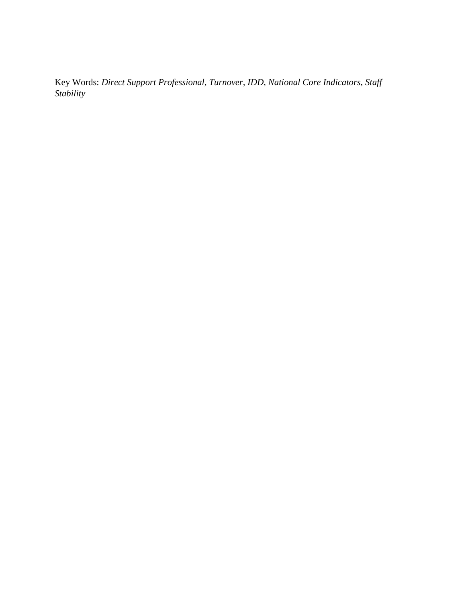Key Words: *Direct Support Professional, Turnover, IDD, National Core Indicators, Staff Stability*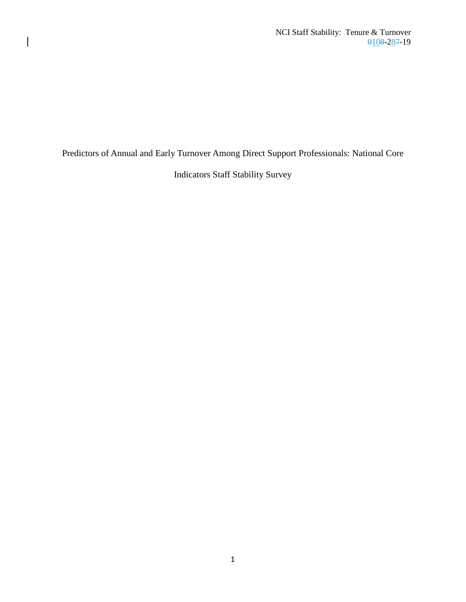Predictors of Annual and Early Turnover Among Direct Support Professionals: National Core

 $\overline{\phantom{a}}$ 

Indicators Staff Stability Survey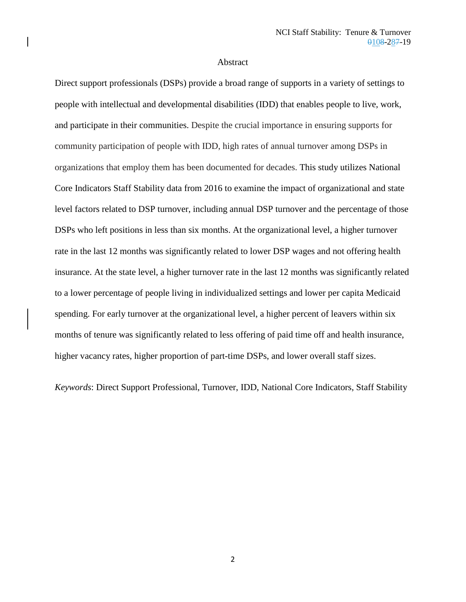## Abstract

Direct support professionals (DSPs) provide a broad range of supports in a variety of settings to people with intellectual and developmental disabilities (IDD) that enables people to live, work, and participate in their communities. Despite the crucial importance in ensuring supports for community participation of people with IDD, high rates of annual turnover among DSPs in organizations that employ them has been documented for decades. This study utilizes National Core Indicators Staff Stability data from 2016 to examine the impact of organizational and state level factors related to DSP turnover, including annual DSP turnover and the percentage of those DSPs who left positions in less than six months. At the organizational level, a higher turnover rate in the last 12 months was significantly related to lower DSP wages and not offering health insurance. At the state level, a higher turnover rate in the last 12 months was significantly related to a lower percentage of people living in individualized settings and lower per capita Medicaid spending. For early turnover at the organizational level, a higher percent of leavers within six months of tenure was significantly related to less offering of paid time off and health insurance, higher vacancy rates, higher proportion of part-time DSPs, and lower overall staff sizes.

*Keywords*: Direct Support Professional, Turnover, IDD, National Core Indicators, Staff Stability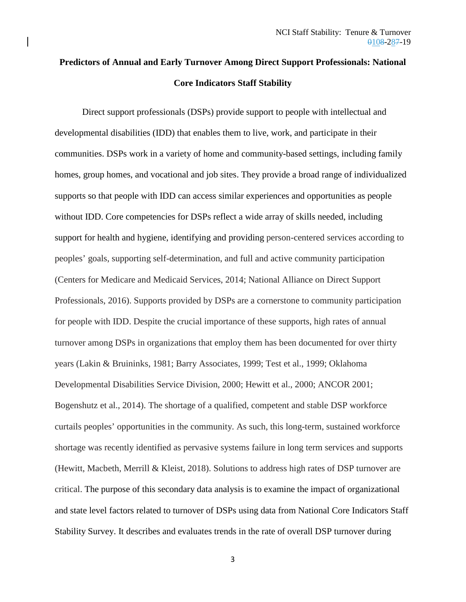# **Predictors of Annual and Early Turnover Among Direct Support Professionals: National Core Indicators Staff Stability**

Direct support professionals (DSPs) provide support to people with intellectual and developmental disabilities (IDD) that enables them to live, work, and participate in their communities. DSPs work in a variety of home and community-based settings, including family homes, group homes, and vocational and job sites. They provide a broad range of individualized supports so that people with IDD can access similar experiences and opportunities as people without IDD. Core competencies for DSPs reflect a wide array of skills needed, including support for health and hygiene, identifying and providing person-centered services according to peoples' goals, supporting self-determination, and full and active community participation (Centers for Medicare and Medicaid Services, 2014; National Alliance on Direct Support Professionals, 2016). Supports provided by DSPs are a cornerstone to community participation for people with IDD. Despite the crucial importance of these supports, high rates of annual turnover among DSPs in organizations that employ them has been documented for over thirty years (Lakin & Bruininks, 1981; Barry Associates, 1999; Test et al., 1999; Oklahoma Developmental Disabilities Service Division, 2000; Hewitt et al., 2000; ANCOR 2001; Bogenshutz et al., 2014). The shortage of a qualified, competent and stable DSP workforce curtails peoples' opportunities in the community. As such, this long-term, sustained workforce shortage was recently identified as pervasive systems failure in long term services and supports (Hewitt, Macbeth, Merrill & Kleist, 2018). Solutions to address high rates of DSP turnover are critical. The purpose of this secondary data analysis is to examine the impact of organizational and state level factors related to turnover of DSPs using data from National Core Indicators Staff Stability Survey. It describes and evaluates trends in the rate of overall DSP turnover during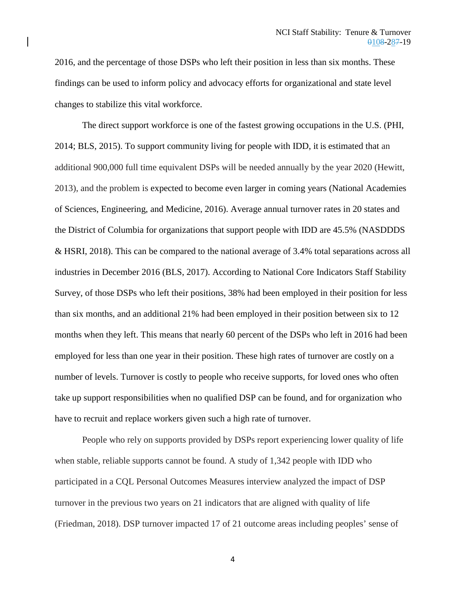2016, and the percentage of those DSPs who left their position in less than six months. These findings can be used to inform policy and advocacy efforts for organizational and state level changes to stabilize this vital workforce.

The direct support workforce is one of the fastest growing occupations in the U.S. (PHI, 2014; BLS, 2015). To support community living for people with IDD, it is estimated that an additional 900,000 full time equivalent DSPs will be needed annually by the year 2020 (Hewitt, 2013), and the problem is expected to become even larger in coming years (National Academies of Sciences, Engineering, and Medicine, 2016). Average annual turnover rates in 20 states and the District of Columbia for organizations that support people with IDD are 45.5% (NASDDDS & HSRI, 2018). This can be compared to the national average of 3.4% total separations across all industries in December 2016 (BLS, 2017). According to National Core Indicators Staff Stability Survey, of those DSPs who left their positions, 38% had been employed in their position for less than six months, and an additional 21% had been employed in their position between six to 12 months when they left. This means that nearly 60 percent of the DSPs who left in 2016 had been employed for less than one year in their position. These high rates of turnover are costly on a number of levels. Turnover is costly to people who receive supports, for loved ones who often take up support responsibilities when no qualified DSP can be found, and for organization who have to recruit and replace workers given such a high rate of turnover.

People who rely on supports provided by DSPs report experiencing lower quality of life when stable, reliable supports cannot be found. A study of 1,342 people with IDD who participated in a CQL Personal Outcomes Measures interview analyzed the impact of DSP turnover in the previous two years on 21 indicators that are aligned with quality of life (Friedman, 2018). DSP turnover impacted 17 of 21 outcome areas including peoples' sense of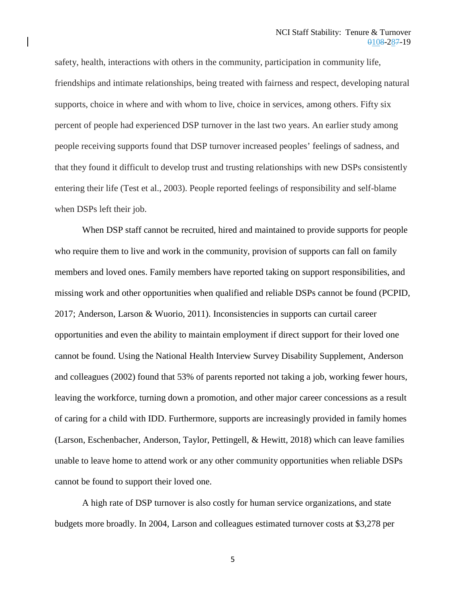safety, health, interactions with others in the community, participation in community life, friendships and intimate relationships, being treated with fairness and respect, developing natural supports, choice in where and with whom to live, choice in services, among others. Fifty six percent of people had experienced DSP turnover in the last two years. An earlier study among people receiving supports found that DSP turnover increased peoples' feelings of sadness, and that they found it difficult to develop trust and trusting relationships with new DSPs consistently entering their life (Test et al., 2003). People reported feelings of responsibility and self-blame when DSPs left their job.

When DSP staff cannot be recruited, hired and maintained to provide supports for people who require them to live and work in the community, provision of supports can fall on family members and loved ones. Family members have reported taking on support responsibilities, and missing work and other opportunities when qualified and reliable DSPs cannot be found (PCPID, 2017; Anderson, Larson & Wuorio, 2011). Inconsistencies in supports can curtail career opportunities and even the ability to maintain employment if direct support for their loved one cannot be found. Using the National Health Interview Survey Disability Supplement, Anderson and colleagues (2002) found that 53% of parents reported not taking a job, working fewer hours, leaving the workforce, turning down a promotion, and other major career concessions as a result of caring for a child with IDD. Furthermore, supports are increasingly provided in family homes (Larson, Eschenbacher, Anderson, Taylor, Pettingell, & Hewitt, 2018) which can leave families unable to leave home to attend work or any other community opportunities when reliable DSPs cannot be found to support their loved one.

A high rate of DSP turnover is also costly for human service organizations, and state budgets more broadly. In 2004, Larson and colleagues estimated turnover costs at \$3,278 per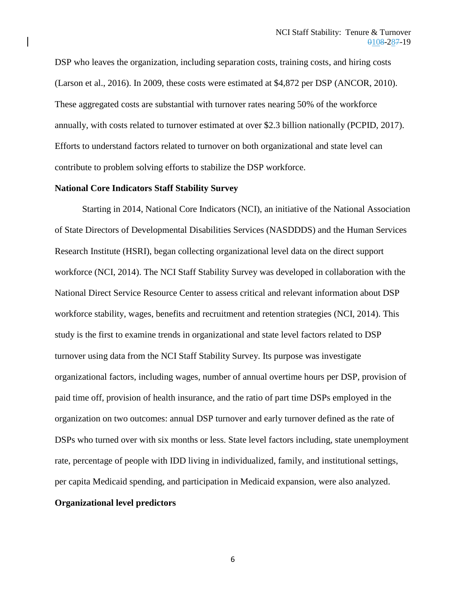DSP who leaves the organization, including separation costs, training costs, and hiring costs (Larson et al., 2016). In 2009, these costs were estimated at \$4,872 per DSP (ANCOR, 2010). These aggregated costs are substantial with turnover rates nearing 50% of the workforce annually, with costs related to turnover estimated at over \$2.3 billion nationally (PCPID, 2017). Efforts to understand factors related to turnover on both organizational and state level can contribute to problem solving efforts to stabilize the DSP workforce.

#### **National Core Indicators Staff Stability Survey**

Starting in 2014, National Core Indicators (NCI), an initiative of the National Association of State Directors of Developmental Disabilities Services (NASDDDS) and the Human Services Research Institute (HSRI), began collecting organizational level data on the direct support workforce (NCI, 2014). The NCI Staff Stability Survey was developed in collaboration with the National Direct Service Resource Center to assess critical and relevant information about DSP workforce stability, wages, benefits and recruitment and retention strategies (NCI, 2014). This study is the first to examine trends in organizational and state level factors related to DSP turnover using data from the NCI Staff Stability Survey. Its purpose was investigate organizational factors, including wages, number of annual overtime hours per DSP, provision of paid time off, provision of health insurance, and the ratio of part time DSPs employed in the organization on two outcomes: annual DSP turnover and early turnover defined as the rate of DSPs who turned over with six months or less. State level factors including, state unemployment rate, percentage of people with IDD living in individualized, family, and institutional settings, per capita Medicaid spending, and participation in Medicaid expansion, were also analyzed. **Organizational level predictors**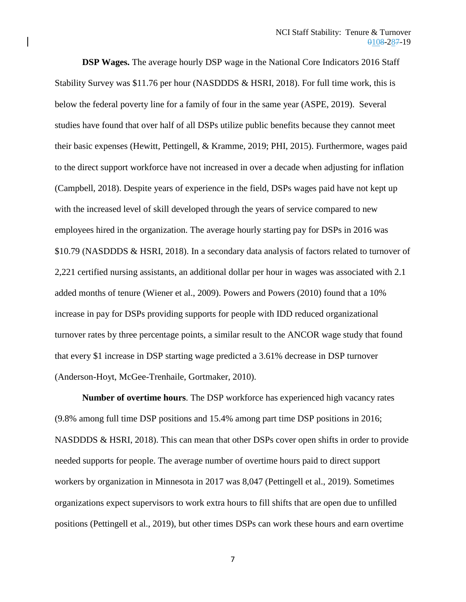**DSP Wages.** The average hourly DSP wage in the National Core Indicators 2016 Staff Stability Survey was \$11.76 per hour (NASDDDS & HSRI, 2018). For full time work, this is below the federal poverty line for a family of four in the same year (ASPE, 2019). Several studies have found that over half of all DSPs utilize public benefits because they cannot meet their basic expenses (Hewitt, Pettingell, & Kramme, 2019; PHI, 2015). Furthermore, wages paid to the direct support workforce have not increased in over a decade when adjusting for inflation (Campbell, 2018). Despite years of experience in the field, DSPs wages paid have not kept up with the increased level of skill developed through the years of service compared to new employees hired in the organization. The average hourly starting pay for DSPs in 2016 was \$10.79 (NASDDDS & HSRI, 2018). In a secondary data analysis of factors related to turnover of 2,221 certified nursing assistants, an additional dollar per hour in wages was associated with 2.1 added months of tenure (Wiener et al., 2009). Powers and Powers (2010) found that a 10% increase in pay for DSPs providing supports for people with IDD reduced organizational turnover rates by three percentage points, a similar result to the ANCOR wage study that found that every \$1 increase in DSP starting wage predicted a 3.61% decrease in DSP turnover (Anderson-Hoyt, McGee-Trenhaile, Gortmaker, 2010).

**Number of overtime hours**. The DSP workforce has experienced high vacancy rates (9.8% among full time DSP positions and 15.4% among part time DSP positions in 2016; NASDDDS & HSRI, 2018). This can mean that other DSPs cover open shifts in order to provide needed supports for people. The average number of overtime hours paid to direct support workers by organization in Minnesota in 2017 was 8,047 (Pettingell et al., 2019). Sometimes organizations expect supervisors to work extra hours to fill shifts that are open due to unfilled positions (Pettingell et al., 2019), but other times DSPs can work these hours and earn overtime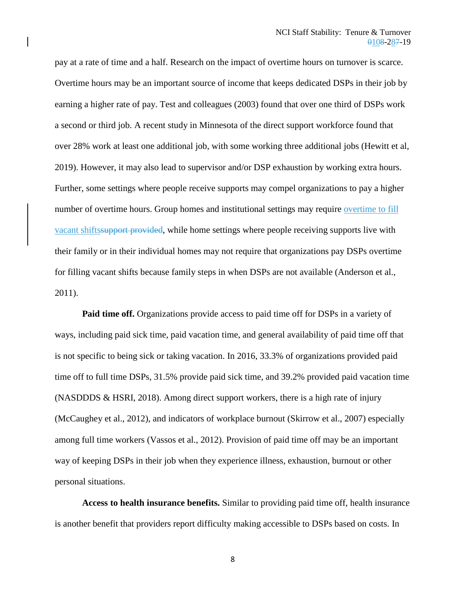pay at a rate of time and a half. Research on the impact of overtime hours on turnover is scarce. Overtime hours may be an important source of income that keeps dedicated DSPs in their job by earning a higher rate of pay. Test and colleagues (2003) found that over one third of DSPs work a second or third job. A recent study in Minnesota of the direct support workforce found that over 28% work at least one additional job, with some working three additional jobs (Hewitt et al, 2019). However, it may also lead to supervisor and/or DSP exhaustion by working extra hours. Further, some settings where people receive supports may compel organizations to pay a higher number of overtime hours. Group homes and institutional settings may require overtime to fill vacant shiftssupport provided, while home settings where people receiving supports live with their family or in their individual homes may not require that organizations pay DSPs overtime for filling vacant shifts because family steps in when DSPs are not available (Anderson et al., 2011).

Paid time off. Organizations provide access to paid time off for DSPs in a variety of ways, including paid sick time, paid vacation time, and general availability of paid time off that is not specific to being sick or taking vacation. In 2016, 33.3% of organizations provided paid time off to full time DSPs, 31.5% provide paid sick time, and 39.2% provided paid vacation time (NASDDDS & HSRI, 2018). Among direct support workers, there is a high rate of injury (McCaughey et al., 2012), and indicators of workplace burnout (Skirrow et al., 2007) especially among full time workers (Vassos et al., 2012). Provision of paid time off may be an important way of keeping DSPs in their job when they experience illness, exhaustion, burnout or other personal situations.

**Access to health insurance benefits.** Similar to providing paid time off, health insurance is another benefit that providers report difficulty making accessible to DSPs based on costs. In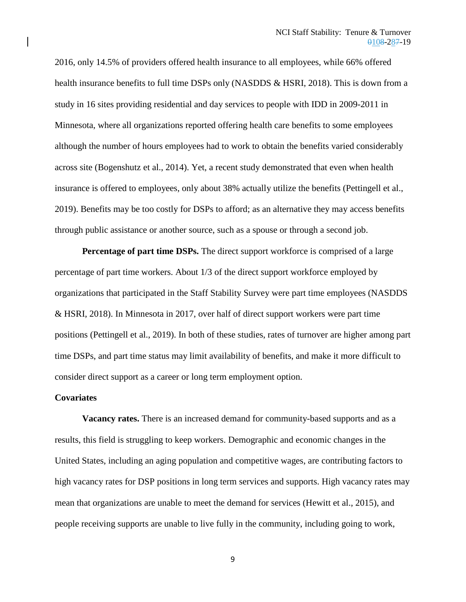2016, only 14.5% of providers offered health insurance to all employees, while 66% offered health insurance benefits to full time DSPs only (NASDDS & HSRI, 2018). This is down from a study in 16 sites providing residential and day services to people with IDD in 2009-2011 in Minnesota, where all organizations reported offering health care benefits to some employees although the number of hours employees had to work to obtain the benefits varied considerably across site (Bogenshutz et al., 2014). Yet, a recent study demonstrated that even when health insurance is offered to employees, only about 38% actually utilize the benefits (Pettingell et al., 2019). Benefits may be too costly for DSPs to afford; as an alternative they may access benefits through public assistance or another source, such as a spouse or through a second job.

**Percentage of part time DSPs.** The direct support workforce is comprised of a large percentage of part time workers. About 1/3 of the direct support workforce employed by organizations that participated in the Staff Stability Survey were part time employees (NASDDS & HSRI, 2018). In Minnesota in 2017, over half of direct support workers were part time positions (Pettingell et al., 2019). In both of these studies, rates of turnover are higher among part time DSPs, and part time status may limit availability of benefits, and make it more difficult to consider direct support as a career or long term employment option.

#### **Covariates**

**Vacancy rates.** There is an increased demand for community-based supports and as a results, this field is struggling to keep workers. Demographic and economic changes in the United States, including an aging population and competitive wages, are contributing factors to high vacancy rates for DSP positions in long term services and supports. High vacancy rates may mean that organizations are unable to meet the demand for services (Hewitt et al., 2015), and people receiving supports are unable to live fully in the community, including going to work,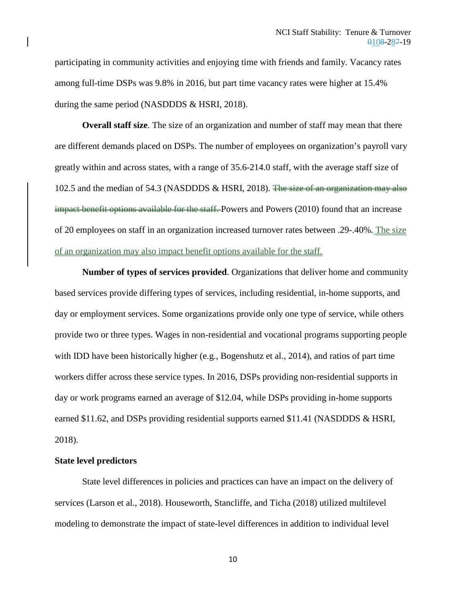participating in community activities and enjoying time with friends and family. Vacancy rates among full-time DSPs was 9.8% in 2016, but part time vacancy rates were higher at 15.4% during the same period (NASDDDS & HSRI, 2018).

**Overall staff size**. The size of an organization and number of staff may mean that there are different demands placed on DSPs. The number of employees on organization's payroll vary greatly within and across states, with a range of 35.6-214.0 staff, with the average staff size of 102.5 and the median of 54.3 (NASDDDS & HSRI, 2018). The size of an organization may also impact benefit options available for the staff. Powers and Powers (2010) found that an increase of 20 employees on staff in an organization increased turnover rates between .29-.40%. The size of an organization may also impact benefit options available for the staff.

**Number of types of services provided**. Organizations that deliver home and community based services provide differing types of services, including residential, in-home supports, and day or employment services. Some organizations provide only one type of service, while others provide two or three types. Wages in non-residential and vocational programs supporting people with IDD have been historically higher (e.g., Bogenshutz et al., 2014), and ratios of part time workers differ across these service types. In 2016, DSPs providing non-residential supports in day or work programs earned an average of \$12.04, while DSPs providing in-home supports earned \$11.62, and DSPs providing residential supports earned \$11.41 (NASDDDS & HSRI, 2018).

#### **State level predictors**

State level differences in policies and practices can have an impact on the delivery of services (Larson et al., 2018). Houseworth, Stancliffe, and Ticha (2018) utilized multilevel modeling to demonstrate the impact of state-level differences in addition to individual level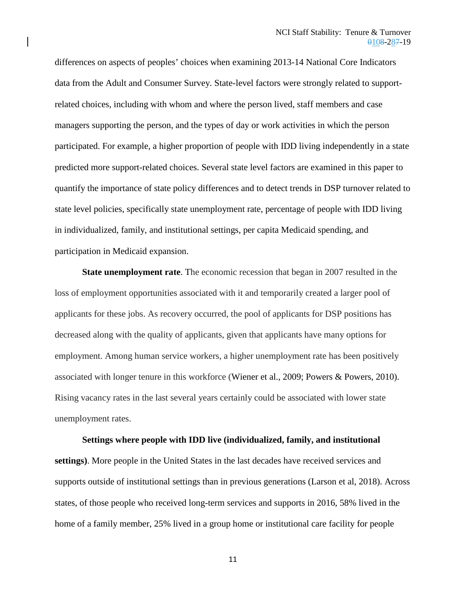differences on aspects of peoples' choices when examining 2013-14 National Core Indicators data from the Adult and Consumer Survey. State-level factors were strongly related to supportrelated choices, including with whom and where the person lived, staff members and case managers supporting the person, and the types of day or work activities in which the person participated. For example, a higher proportion of people with IDD living independently in a state predicted more support-related choices. Several state level factors are examined in this paper to quantify the importance of state policy differences and to detect trends in DSP turnover related to state level policies, specifically state unemployment rate, percentage of people with IDD living in individualized, family, and institutional settings, per capita Medicaid spending, and participation in Medicaid expansion.

**State unemployment rate**. The economic recession that began in 2007 resulted in the loss of employment opportunities associated with it and temporarily created a larger pool of applicants for these jobs. As recovery occurred, the pool of applicants for DSP positions has decreased along with the quality of applicants, given that applicants have many options for employment. Among human service workers, a higher unemployment rate has been positively associated with longer tenure in this workforce (Wiener et al., 2009; Powers & Powers, 2010). Rising vacancy rates in the last several years certainly could be associated with lower state unemployment rates.

**Settings where people with IDD live (individualized, family, and institutional settings)**. More people in the United States in the last decades have received services and supports outside of institutional settings than in previous generations (Larson et al, 2018). Across states, of those people who received long-term services and supports in 2016, 58% lived in the home of a family member, 25% lived in a group home or institutional care facility for people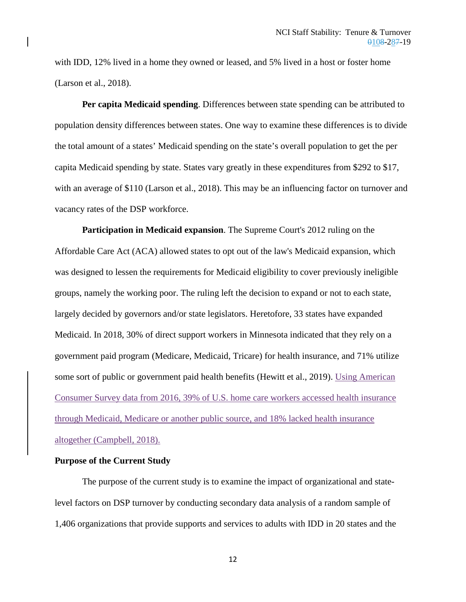with IDD, 12% lived in a home they owned or leased, and 5% lived in a host or foster home (Larson et al., 2018).

**Per capita Medicaid spending**. Differences between state spending can be attributed to population density differences between states. One way to examine these differences is to divide the total amount of a states' Medicaid spending on the state's overall population to get the per capita Medicaid spending by state. States vary greatly in these expenditures from \$292 to \$17, with an average of \$110 (Larson et al., 2018). This may be an influencing factor on turnover and vacancy rates of the DSP workforce.

**Participation in Medicaid expansion**. The [Supreme Court's 2012 ruling](https://www.advisory.com/Daily-Briefing/2012/06/28/Chas-Roades-initial-reactions-to-SCOTUS-ruling) on the Affordable Care Act (ACA) allowed states to opt out of the [law's Medicaid expansion,](https://www.advisory.com/Daily-Briefing/Resources/Primers/Medicaid-expansion) which was designed to lessen the requirements for Medicaid eligibility to cover previously ineligible groups, namely the working poor. The ruling left the decision to expand or not to each state, largely decided by governors and/or state legislators. Heretofore, 33 states have expanded Medicaid. In 2018, 30% of direct support workers in Minnesota indicated that they rely on a government paid program (Medicare, Medicaid, Tricare) for health insurance, and 71% utilize some sort of public or government paid health benefits (Hewitt et al., 2019). Using American Consumer Survey data from 2016, 39% of U.S. home care workers accessed health insurance through Medicaid, Medicare or another public source, and 18% lacked health insurance altogether (Campbell, 2018).

## **Purpose of the Current Study**

The purpose of the current study is to examine the impact of organizational and statelevel factors on DSP turnover by conducting secondary data analysis of a random sample of 1,406 organizations that provide supports and services to adults with IDD in 20 states and the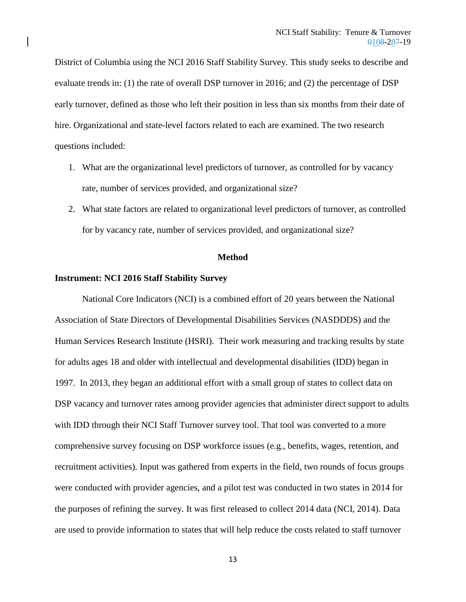District of Columbia using the NCI 2016 Staff Stability Survey. This study seeks to describe and evaluate trends in: (1) the rate of overall DSP turnover in 2016; and (2) the percentage of DSP early turnover, defined as those who left their position in less than six months from their date of hire. Organizational and state-level factors related to each are examined. The two research questions included:

- 1. What are the organizational level predictors of turnover, as controlled for by vacancy rate, number of services provided, and organizational size?
- 2. What state factors are related to organizational level predictors of turnover, as controlled for by vacancy rate, number of services provided, and organizational size?

## **Method**

## **Instrument: NCI 2016 Staff Stability Survey**

National Core Indicators (NCI) is a combined effort of 20 years between the National Association of State Directors of Developmental Disabilities Services (NASDDDS) and the Human Services Research Institute (HSRI). Their work measuring and tracking results by state for adults ages 18 and older with intellectual and developmental disabilities (IDD) began in 1997. In 2013, they began an additional effort with a small group of states to collect data on DSP vacancy and turnover rates among provider agencies that administer direct support to adults with IDD through their NCI Staff Turnover survey tool. That tool was converted to a more comprehensive survey focusing on DSP workforce issues (e.g., benefits, wages, retention, and recruitment activities). Input was gathered from experts in the field, two rounds of focus groups were conducted with provider agencies, and a pilot test was conducted in two states in 2014 for the purposes of refining the survey. It was first released to collect 2014 data (NCI, 2014). Data are used to provide information to states that will help reduce the costs related to staff turnover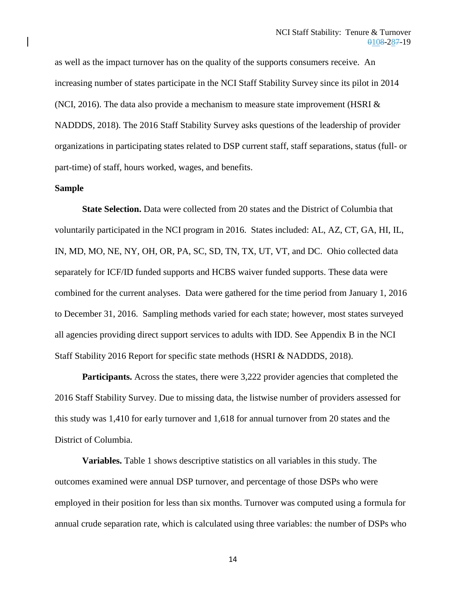as well as the impact turnover has on the quality of the supports consumers receive. An increasing number of states participate in the NCI Staff Stability Survey since its pilot in 2014 (NCI, 2016). The data also provide a mechanism to measure state improvement (HSRI & NADDDS, 2018). The 2016 Staff Stability Survey asks questions of the leadership of provider organizations in participating states related to DSP current staff, staff separations, status (full- or part-time) of staff, hours worked, wages, and benefits.

#### **Sample**

**State Selection.** Data were collected from 20 states and the District of Columbia that voluntarily participated in the NCI program in 2016. States included: AL, AZ, CT, GA, HI, IL, IN, MD, MO, NE, NY, OH, OR, PA, SC, SD, TN, TX, UT, VT, and DC. Ohio collected data separately for ICF/ID funded supports and HCBS waiver funded supports. These data were combined for the current analyses. Data were gathered for the time period from January 1, 2016 to December 31, 2016. Sampling methods varied for each state; however, most states surveyed all agencies providing direct support services to adults with IDD. See Appendix B in the NCI Staff Stability 2016 Report for specific state methods (HSRI & NADDDS, 2018).

Participants. Across the states, there were 3,222 provider agencies that completed the 2016 Staff Stability Survey. Due to missing data, the listwise number of providers assessed for this study was 1,410 for early turnover and 1,618 for annual turnover from 20 states and the District of Columbia.

**Variables.** Table 1 shows descriptive statistics on all variables in this study. The outcomes examined were annual DSP turnover, and percentage of those DSPs who were employed in their position for less than six months. Turnover was computed using a formula for annual crude separation rate, which is calculated using three variables: the number of DSPs who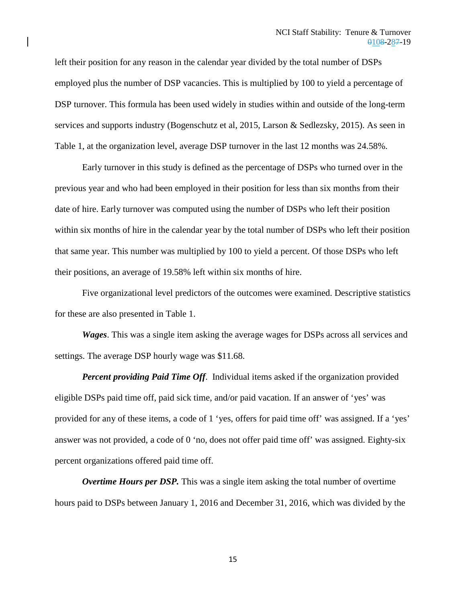left their position for any reason in the calendar year divided by the total number of DSPs employed plus the number of DSP vacancies. This is multiplied by 100 to yield a percentage of DSP turnover. This formula has been used widely in studies within and outside of the long-term services and supports industry (Bogenschutz et al, 2015, Larson & Sedlezsky, 2015). As seen in Table 1, at the organization level, average DSP turnover in the last 12 months was 24.58%.

Early turnover in this study is defined as the percentage of DSPs who turned over in the previous year and who had been employed in their position for less than six months from their date of hire. Early turnover was computed using the number of DSPs who left their position within six months of hire in the calendar year by the total number of DSPs who left their position that same year. This number was multiplied by 100 to yield a percent. Of those DSPs who left their positions, an average of 19.58% left within six months of hire.

Five organizational level predictors of the outcomes were examined. Descriptive statistics for these are also presented in Table 1.

*Wages*. This was a single item asking the average wages for DSPs across all services and settings. The average DSP hourly wage was \$11.68.

*Percent providing Paid Time Off*. Individual items asked if the organization provided eligible DSPs paid time off, paid sick time, and/or paid vacation. If an answer of 'yes' was provided for any of these items, a code of 1 'yes, offers for paid time off' was assigned. If a 'yes' answer was not provided, a code of 0 'no, does not offer paid time off' was assigned. Eighty-six percent organizations offered paid time off.

*Overtime Hours per DSP*. This was a single item asking the total number of overtime hours paid to DSPs between January 1, 2016 and December 31, 2016, which was divided by the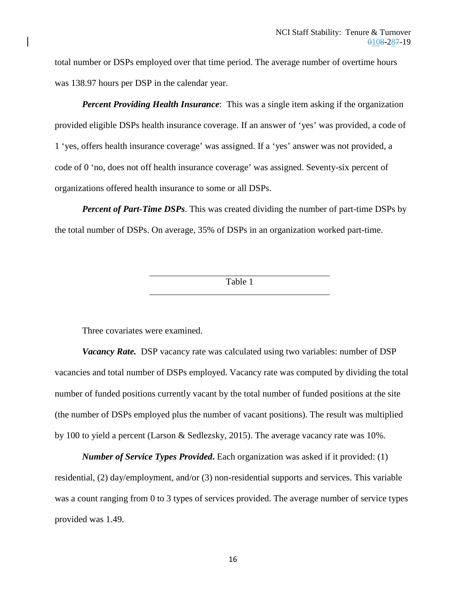total number or DSPs employed over that time period. The average number of overtime hours was 138.97 hours per DSP in the calendar year.

*Percent Providing Health Insurance*: This was a single item asking if the organization provided eligible DSPs health insurance coverage. If an answer of 'yes' was provided, a code of 1 'yes, offers health insurance coverage' was assigned. If a 'yes' answer was not provided, a code of 0 'no, does not off health insurance coverage' was assigned. Seventy-six percent of organizations offered health insurance to some or all DSPs.

*Percent of Part-Time DSPs*. This was created dividing the number of part-time DSPs by the total number of DSPs. On average, 35% of DSPs in an organization worked part-time.

Table 1

Three covariates were examined.

*Vacancy Rate.* DSP vacancy rate was calculated using two variables: number of DSP vacancies and total number of DSPs employed. Vacancy rate was computed by dividing the total number of funded positions currently vacant by the total number of funded positions at the site (the number of DSPs employed plus the number of vacant positions). The result was multiplied by 100 to yield a percent (Larson & Sedlezsky, 2015). The average vacancy rate was 10%.

*Number of Service Types Provided***.** Each organization was asked if it provided: (1) residential, (2) day/employment, and/or (3) non-residential supports and services. This variable was a count ranging from 0 to 3 types of services provided. The average number of service types provided was 1.49.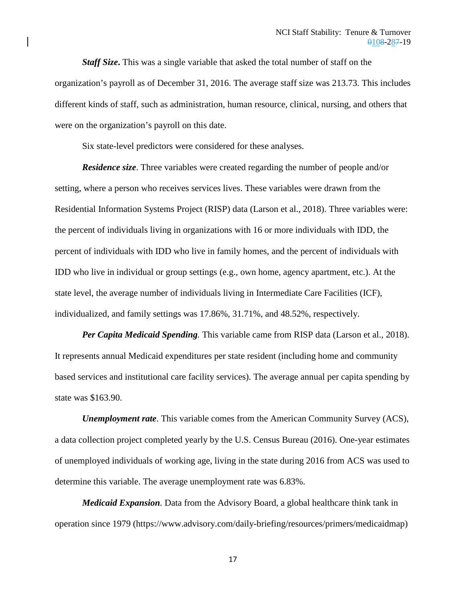*Staff Size***.** This was a single variable that asked the total number of staff on the organization's payroll as of December 31, 2016. The average staff size was 213.73. This includes different kinds of staff, such as administration, human resource, clinical, nursing, and others that were on the organization's payroll on this date.

Six state-level predictors were considered for these analyses.

*Residence size*. Three variables were created regarding the number of people and/or setting, where a person who receives services lives. These variables were drawn from the Residential Information Systems Project (RISP) data (Larson et al., 2018). Three variables were: the percent of individuals living in organizations with 16 or more individuals with IDD, the percent of individuals with IDD who live in family homes, and the percent of individuals with IDD who live in individual or group settings (e.g., own home, agency apartment, etc.). At the state level, the average number of individuals living in Intermediate Care Facilities (ICF), individualized, and family settings was 17.86%, 31.71%, and 48.52%, respectively.

*Per Capita Medicaid Spending.* This variable came from RISP data (Larson et al., 2018). It represents annual Medicaid expenditures per state resident (including home and community based services and institutional care facility services). The average annual per capita spending by state was \$163.90.

*Unemployment rate*. This variable comes from the American Community Survey (ACS), a data collection project completed yearly by the U.S. Census Bureau (2016). One-year estimates of unemployed individuals of working age, living in the state during 2016 from ACS was used to determine this variable. The average unemployment rate was 6.83%.

*Medicaid Expansion.* Data from the Advisory Board, a global healthcare think tank in operation since 1979 [\(https://www.advisory.com/daily-briefing/resources/primers/medicaidmap\)](https://www.advisory.com/daily-briefing/resources/primers/medicaidmap)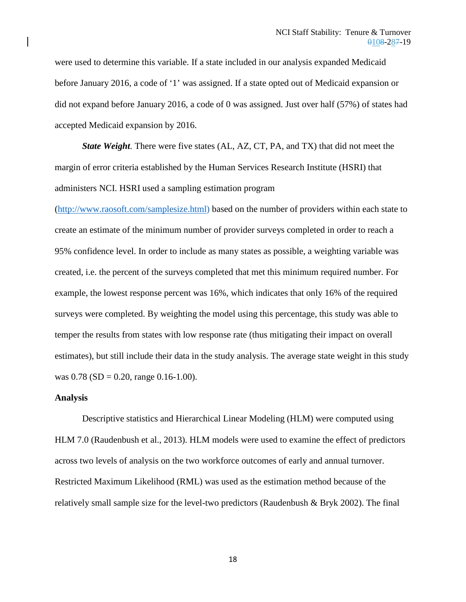were used to determine this variable. If a state included in our analysis expanded Medicaid before January 2016, a code of '1' was assigned. If a state opted out of Medicaid expansion or did not expand before January 2016, a code of 0 was assigned. Just over half (57%) of states had accepted Medicaid expansion by 2016.

*State Weight*. There were five states (AL, AZ, CT, PA, and TX) that did not meet the margin of error criteria established by the Human Services Research Institute (HSRI) that administers NCI. HSRI used a sampling estimation program

[\(http://www.raosoft.com/samplesize.html\)](http://www.raosoft.com/samplesize.html) based on the number of providers within each state to create an estimate of the minimum number of provider surveys completed in order to reach a 95% confidence level. In order to include as many states as possible, a weighting variable was created, i.e. the percent of the surveys completed that met this minimum required number. For example, the lowest response percent was 16%, which indicates that only 16% of the required surveys were completed. By weighting the model using this percentage, this study was able to temper the results from states with low response rate (thus mitigating their impact on overall estimates), but still include their data in the study analysis. The average state weight in this study was  $0.78$  (SD = 0.20, range 0.16-1.00).

#### **Analysis**

Descriptive statistics and Hierarchical Linear Modeling (HLM) were computed using HLM 7.0 (Raudenbush et al., 2013). HLM models were used to examine the effect of predictors across two levels of analysis on the two workforce outcomes of early and annual turnover. Restricted Maximum Likelihood (RML) was used as the estimation method because of the relatively small sample size for the level-two predictors (Raudenbush & Bryk 2002). The final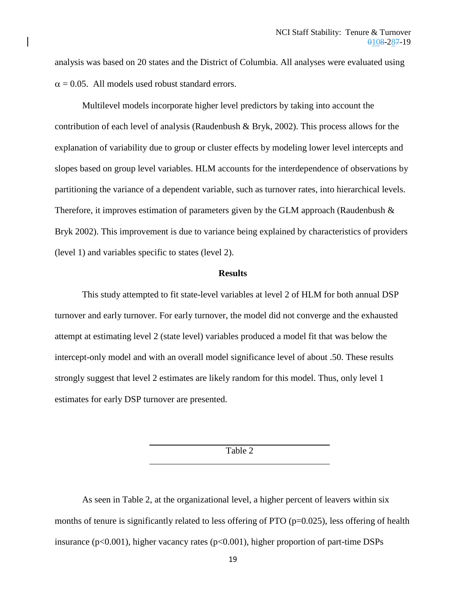analysis was based on 20 states and the District of Columbia. All analyses were evaluated using  $\alpha$  = 0.05. All models used robust standard errors.

Multilevel models incorporate higher level predictors by taking into account the contribution of each level of analysis (Raudenbush & Bryk, 2002). This process allows for the explanation of variability due to group or cluster effects by modeling lower level intercepts and slopes based on group level variables. HLM accounts for the interdependence of observations by partitioning the variance of a dependent variable, such as turnover rates, into hierarchical levels. Therefore, it improves estimation of parameters given by the GLM approach (Raudenbush  $\&$ Bryk 2002). This improvement is due to variance being explained by characteristics of providers (level 1) and variables specific to states (level 2).

#### **Results**

This study attempted to fit state-level variables at level 2 of HLM for both annual DSP turnover and early turnover. For early turnover, the model did not converge and the exhausted attempt at estimating level 2 (state level) variables produced a model fit that was below the intercept-only model and with an overall model significance level of about .50. These results strongly suggest that level 2 estimates are likely random for this model. Thus, only level 1 estimates for early DSP turnover are presented.

Table 2

As seen in Table 2, at the organizational level, a higher percent of leavers within six months of tenure is significantly related to less offering of PTO (p=0.025), less offering of health insurance ( $p<0.001$ ), higher vacancy rates ( $p<0.001$ ), higher proportion of part-time DSPs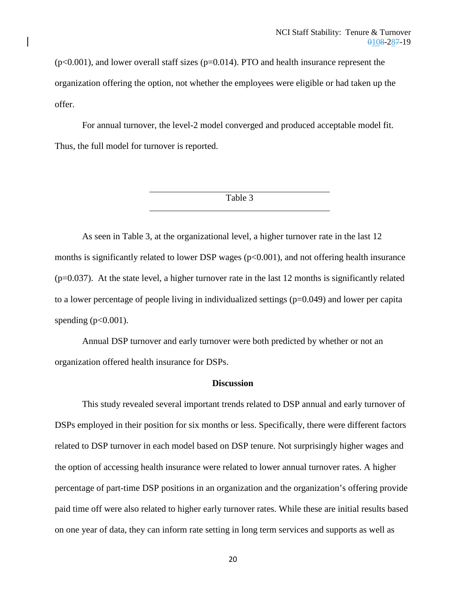$(p<0.001)$ , and lower overall staff sizes  $(p=0.014)$ . PTO and health insurance represent the organization offering the option, not whether the employees were eligible or had taken up the offer.

For annual turnover, the level-2 model converged and produced acceptable model fit. Thus, the full model for turnover is reported.

Table 3

As seen in Table 3, at the organizational level, a higher turnover rate in the last 12 months is significantly related to lower DSP wages  $(p<0.001)$ , and not offering health insurance  $(p=0.037)$ . At the state level, a higher turnover rate in the last 12 months is significantly related to a lower percentage of people living in individualized settings  $(p=0.049)$  and lower per capita spending  $(p<0.001)$ .

Annual DSP turnover and early turnover were both predicted by whether or not an organization offered health insurance for DSPs.

## **Discussion**

This study revealed several important trends related to DSP annual and early turnover of DSPs employed in their position for six months or less. Specifically, there were different factors related to DSP turnover in each model based on DSP tenure. Not surprisingly higher wages and the option of accessing health insurance were related to lower annual turnover rates. A higher percentage of part-time DSP positions in an organization and the organization's offering provide paid time off were also related to higher early turnover rates. While these are initial results based on one year of data, they can inform rate setting in long term services and supports as well as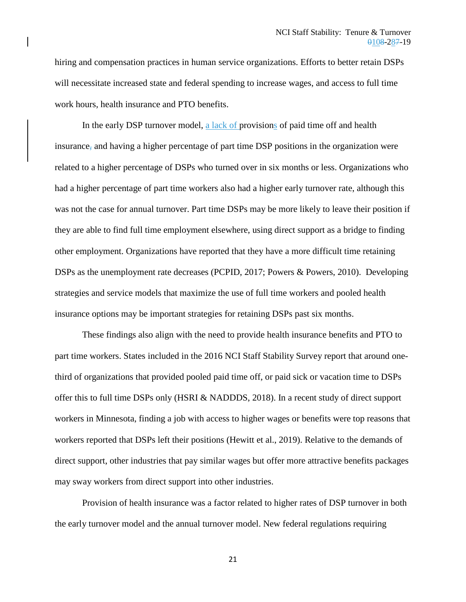hiring and compensation practices in human service organizations. Efforts to better retain DSPs will necessitate increased state and federal spending to increase wages, and access to full time work hours, health insurance and PTO benefits.

In the early DSP turnover model, a lack of provisions of paid time off and health insurance, and having a higher percentage of part time DSP positions in the organization were related to a higher percentage of DSPs who turned over in six months or less. Organizations who had a higher percentage of part time workers also had a higher early turnover rate, although this was not the case for annual turnover. Part time DSPs may be more likely to leave their position if they are able to find full time employment elsewhere, using direct support as a bridge to finding other employment. Organizations have reported that they have a more difficult time retaining DSPs as the unemployment rate decreases (PCPID, 2017; Powers & Powers, 2010). Developing strategies and service models that maximize the use of full time workers and pooled health insurance options may be important strategies for retaining DSPs past six months.

These findings also align with the need to provide health insurance benefits and PTO to part time workers. States included in the 2016 NCI Staff Stability Survey report that around onethird of organizations that provided pooled paid time off, or paid sick or vacation time to DSPs offer this to full time DSPs only (HSRI & NADDDS, 2018). In a recent study of direct support workers in Minnesota, finding a job with access to higher wages or benefits were top reasons that workers reported that DSPs left their positions (Hewitt et al., 2019). Relative to the demands of direct support, other industries that pay similar wages but offer more attractive benefits packages may sway workers from direct support into other industries.

Provision of health insurance was a factor related to higher rates of DSP turnover in both the early turnover model and the annual turnover model. New federal regulations requiring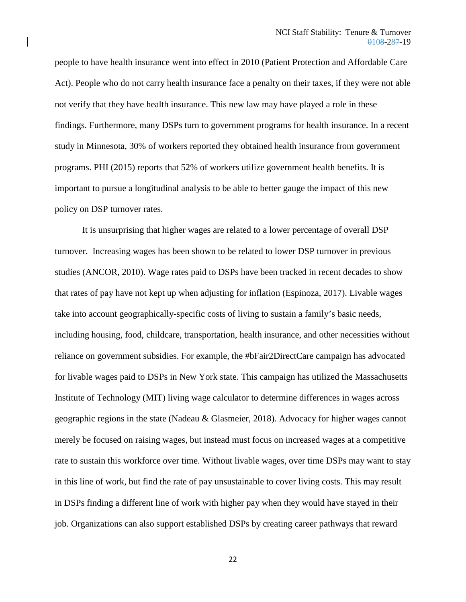people to have health insurance went into effect in 2010 (Patient Protection and Affordable Care Act). People who do not carry health insurance face a penalty on their taxes, if they were not able not verify that they have health insurance. This new law may have played a role in these findings. Furthermore, many DSPs turn to government programs for health insurance. In a recent study in Minnesota, 30% of workers reported they obtained health insurance from government programs. PHI (2015) reports that 52% of workers utilize government health benefits. It is important to pursue a longitudinal analysis to be able to better gauge the impact of this new policy on DSP turnover rates.

It is unsurprising that higher wages are related to a lower percentage of overall DSP turnover. Increasing wages has been shown to be related to lower DSP turnover in previous studies (ANCOR, 2010). Wage rates paid to DSPs have been tracked in recent decades to show that rates of pay have not kept up when adjusting for inflation (Espinoza, 2017). Livable wages take into account geographically-specific costs of living to sustain a family's basic needs, including housing, food, childcare, transportation, health insurance, and other necessities without reliance on government subsidies. For example, the #bFair2DirectCare campaign has advocated for livable wages paid to DSPs in New York state. This campaign has utilized the Massachusetts Institute of Technology (MIT) living wage calculator to determine differences in wages across geographic regions in the state (Nadeau & Glasmeier, 2018). Advocacy for higher wages cannot merely be focused on raising wages, but instead must focus on increased wages at a competitive rate to sustain this workforce over time. Without livable wages, over time DSPs may want to stay in this line of work, but find the rate of pay unsustainable to cover living costs. This may result in DSPs finding a different line of work with higher pay when they would have stayed in their job. Organizations can also support established DSPs by creating career pathways that reward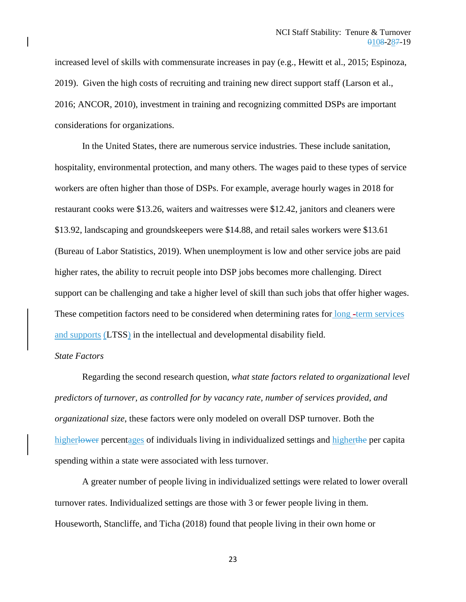increased level of skills with commensurate increases in pay (e.g., Hewitt et al., 2015; Espinoza, 2019). Given the high costs of recruiting and training new direct support staff (Larson et al., 2016; ANCOR, 2010), investment in training and recognizing committed DSPs are important considerations for organizations.

In the United States, there are numerous service industries. These include sanitation, hospitality, environmental protection, and many others. The wages paid to these types of service workers are often higher than those of DSPs. For example, average hourly wages in 2018 for restaurant cooks were \$13.26, waiters and waitresses were \$12.42, janitors and cleaners were \$13.92, landscaping and groundskeepers were \$14.88, and retail sales workers were \$13.61 (Bureau of Labor Statistics, 2019). When unemployment is low and other service jobs are paid higher rates, the ability to recruit people into DSP jobs becomes more challenging. Direct support can be challenging and take a higher level of skill than such jobs that offer higher wages. These competition factors need to be considered when determining rates for long -term services and supports (LTSS) in the intellectual and developmental disability field.

## *State Factors*

Regarding the second research question, *what state factors related to organizational level predictors of turnover, as controlled for by vacancy rate, number of services provided, and organizational size*, these factors were only modeled on overall DSP turnover. Both the higherlower percentages of individuals living in individualized settings and higherthe per capita spending within a state were associated with less turnover.

A greater number of people living in individualized settings were related to lower overall turnover rates. Individualized settings are those with 3 or fewer people living in them. Houseworth, Stancliffe, and Ticha (2018) found that people living in their own home or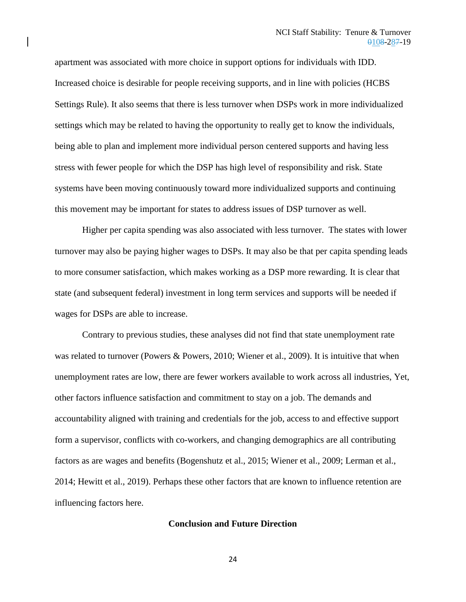apartment was associated with more choice in support options for individuals with IDD. Increased choice is desirable for people receiving supports, and in line with policies (HCBS Settings Rule). It also seems that there is less turnover when DSPs work in more individualized settings which may be related to having the opportunity to really get to know the individuals, being able to plan and implement more individual person centered supports and having less stress with fewer people for which the DSP has high level of responsibility and risk. State systems have been moving continuously toward more individualized supports and continuing this movement may be important for states to address issues of DSP turnover as well.

Higher per capita spending was also associated with less turnover. The states with lower turnover may also be paying higher wages to DSPs. It may also be that per capita spending leads to more consumer satisfaction, which makes working as a DSP more rewarding. It is clear that state (and subsequent federal) investment in long term services and supports will be needed if wages for DSPs are able to increase.

Contrary to previous studies, these analyses did not find that state unemployment rate was related to turnover (Powers & Powers, 2010; Wiener et al., 2009). It is intuitive that when unemployment rates are low, there are fewer workers available to work across all industries, Yet, other factors influence satisfaction and commitment to stay on a job. The demands and accountability aligned with training and credentials for the job, access to and effective support form a supervisor, conflicts with co-workers, and changing demographics are all contributing factors as are wages and benefits (Bogenshutz et al., 2015; Wiener et al., 2009; Lerman et al., 2014; Hewitt et al., 2019). Perhaps these other factors that are known to influence retention are influencing factors here.

#### **Conclusion and Future Direction**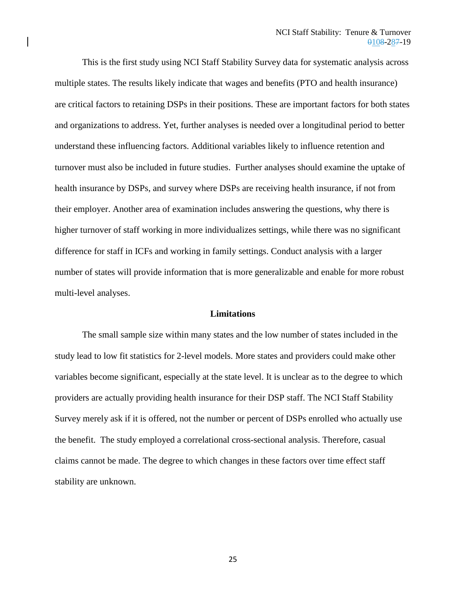This is the first study using NCI Staff Stability Survey data for systematic analysis across multiple states. The results likely indicate that wages and benefits (PTO and health insurance) are critical factors to retaining DSPs in their positions. These are important factors for both states and organizations to address. Yet, further analyses is needed over a longitudinal period to better understand these influencing factors. Additional variables likely to influence retention and turnover must also be included in future studies. Further analyses should examine the uptake of health insurance by DSPs, and survey where DSPs are receiving health insurance, if not from their employer. Another area of examination includes answering the questions, why there is higher turnover of staff working in more individualizes settings, while there was no significant difference for staff in ICFs and working in family settings. Conduct analysis with a larger number of states will provide information that is more generalizable and enable for more robust multi-level analyses.

#### **Limitations**

The small sample size within many states and the low number of states included in the study lead to low fit statistics for 2-level models. More states and providers could make other variables become significant, especially at the state level. It is unclear as to the degree to which providers are actually providing health insurance for their DSP staff. The NCI Staff Stability Survey merely ask if it is offered, not the number or percent of DSPs enrolled who actually use the benefit. The study employed a correlational cross-sectional analysis. Therefore, casual claims cannot be made. The degree to which changes in these factors over time effect staff stability are unknown.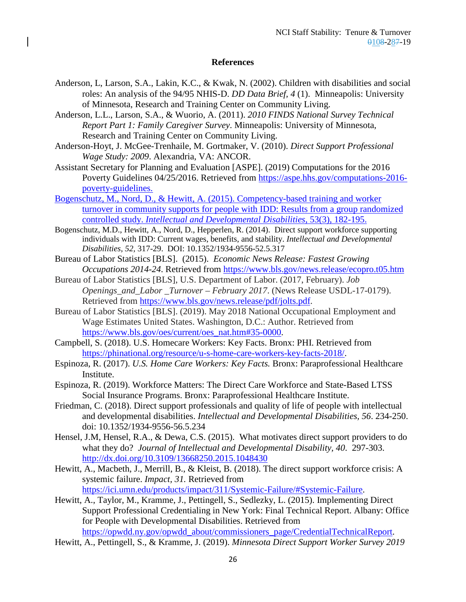## **References**

- Anderson, L, Larson, S.A., Lakin, K.C., & Kwak, N. (2002). Children with disabilities and social roles: An analysis of the 94/95 NHIS-D. *DD Data Brief, 4* (1). Minneapolis: University of Minnesota, Research and Training Center on Community Living.
- Anderson, L.L., Larson, S.A., & Wuorio, A. (2011). *2010 FINDS National Survey Technical Report Part 1: Family Caregiver Survey*. Minneapolis: University of Minnesota, Research and Training Center on Community Living.
- Anderson-Hoyt, J. McGee-Trenhaile, M. Gortmaker, V. (2010). *Direct Support Professional Wage Study: 2009*. Alexandria, VA: ANCOR.
- Assistant Secretary for Planning and Evaluation [ASPE]. (2019) Computations for the 2016 Poverty Guidelines 04/25/2016. Retrieved from [https://aspe.hhs.gov/computations-2016](https://aspe.hhs.gov/computations-2016-poverty-guidelines) [poverty-guidelines.](https://aspe.hhs.gov/computations-2016-poverty-guidelines)
- Bogenschutz, M., Nord, D., & Hewitt, A. (2015). Competency-based training and worker turnover in community supports for people with IDD: Results from a group randomized controlled study. *Intellectual and Developmental Disabilities*, 53(3), 182-195.
- Bogenschutz, M.D., Hewitt, A., Nord, D., Hepperlen, R. (2014). Direct support workforce supporting individuals with IDD: Current wages, benefits, and stability. *Intellectual and Developmental Disabilities, 52,* 317-29. DOI: 10.1352/1934-9556-52.5.317
- Bureau of Labor Statistics [BLS]. (2015). *Economic News Release: Fastest Growing Occupations 2014-24*. Retrieved from<https://www.bls.gov/news.release/ecopro.t05.htm>
- Bureau of Labor Statistics [BLS], U.S. Department of Labor. (2017, February). *Job Openings\_and\_Labor \_Turnover – February 2017*. (News Release USDL-17-0179). Retrieved from [https://www.bls.gov/news.release/pdf/jolts.pdf.](https://www.bls.gov/news.release/pdf/jolts.pdf)
- Bureau of Labor Statistics [BLS]. (2019). May 2018 National Occupational Employment and Wage Estimates United States. Washington, D.C.: Author. Retrieved from [https://www.bls.gov/oes/current/oes\\_nat.htm#35-0000.](https://www.bls.gov/oes/current/oes_nat.htm#35-0000)
- Campbell, S. (2018). U.S. Homecare Workers: Key Facts. Bronx: PHI. Retrieved from [https://phinational.org/resource/u-s-home-care-workers-key-facts-2018/.](https://phinational.org/resource/u-s-home-care-workers-key-facts-2018/)
- Espinoza, R. (2017). *U.S. Home Care Workers: Key Facts.* Bronx: Paraprofessional Healthcare Institute.
- Espinoza, R. (2019). Workforce Matters: The Direct Care Workforce and State-Based LTSS Social Insurance Programs. Bronx: Paraprofessional Healthcare Institute.
- Friedman, C. (2018). Direct support professionals and quality of life of people with intellectual and developmental disabilities. *Intellectual and Developmental Disabilities, 56*. 234-250. doi: 10.1352/1934-9556-56.5.234
- Hensel, J.M, Hensel, R.A., & Dewa, C.S. (2015). What motivates direct support providers to do what they do? *Journal of Intellectual and Developmental Disability, 40*. 297-303. <http://dx.doi.org/10.3109/13668250.2015.1048430>
- Hewitt, A., Macbeth, J., Merrill, B., & Kleist, B. (2018). The direct support workforce crisis: A systemic failure. *Impact, 31.* Retrieved from [https://ici.umn.edu/products/impact/311/Systemic-Failure/#Systemic-Failure.](https://ici.umn.edu/products/impact/311/Systemic-Failure/#Systemic-Failure)

Hewitt, A., Taylor, M., Kramme, J., Pettingell, S., Sedlezky, L. (2015). Implementing Direct Support Professional Credentialing in New York: Final Technical Report. Albany: Office for People with Developmental Disabilities. Retrieved from [https://opwdd.ny.gov/opwdd\\_about/commissioners\\_page/CredentialTechnicalReport.](https://opwdd.ny.gov/opwdd_about/commissioners_page/CredentialTechnicalReport)

Hewitt, A., Pettingell, S., & Kramme, J. (2019). *Minnesota Direct Support Worker Survey 2019*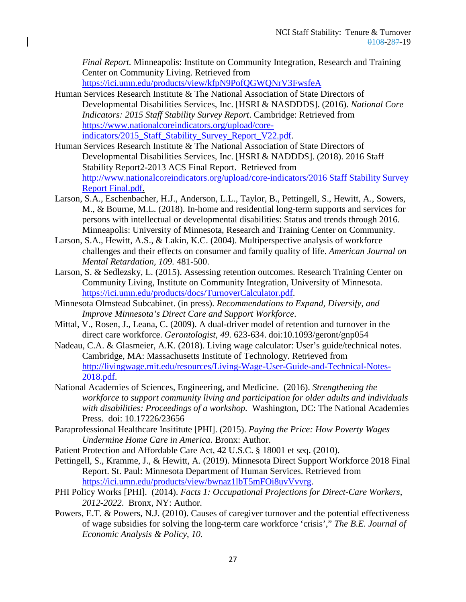*Final Report.* Minneapolis: Institute on Community Integration, Research and Training Center on Community Living. Retrieved from

<https://ici.umn.edu/products/view/kfpN9PofQGWQNrV3FwsfeA>

- Human Services Research Institute & The National Association of State Directors of Developmental Disabilities Services, Inc. [HSRI & NASDDDS]. (2016). *National Core Indicators: 2015 Staff Stability Survey Report*. Cambridge: Retrieved from [https://www.nationalcoreindicators.org/upload/core](https://www.nationalcoreindicators.org/upload/core-indicators/2015_Staff_Stability_Survey_Report_V22.pdf)[indicators/2015\\_Staff\\_Stability\\_Survey\\_Report\\_V22.pdf.](https://www.nationalcoreindicators.org/upload/core-indicators/2015_Staff_Stability_Survey_Report_V22.pdf)
- Human Services Research Institute & The National Association of State Directors of Developmental Disabilities Services, Inc. [HSRI & NADDDS]. (2018). 2016 Staff Stability Report2-2013 ACS Final Report. Retrieved from [http://www.nationalcoreindicators.org/upload/core-indicators/2016 Staff Stability Survey](http://www.nationalcoreindicators.org/upload/core-indicators/2016%20Staff%20Stability%20Survey%20Report%20Final.pdf)  [Report Final.pdf.](http://www.nationalcoreindicators.org/upload/core-indicators/2016%20Staff%20Stability%20Survey%20Report%20Final.pdf)
- Larson, S.A., Eschenbacher, H.J., Anderson, L.L., Taylor, B., Pettingell, S., Hewitt, A., Sowers, M., & Bourne, M.L. (2018). In-home and residential long-term supports and services for persons with intellectual or developmental disabilities: Status and trends through 2016. Minneapolis: University of Minnesota, Research and Training Center on Community.
- Larson, S.A., Hewitt, A.S., & Lakin, K.C. (2004). Multiperspective analysis of workforce challenges and their effects on consumer and family quality of life. *American Journal on Mental Retardation, 109.* 481-500.
- Larson, S. & Sedlezsky, L. (2015). Assessing retention outcomes. Research Training Center on Community Living, Institute on Community Integration, University of Minnesota. [https://ici.umn.edu/products/docs/TurnoverCalculator.pdf.](https://ici.umn.edu/products/docs/TurnoverCalculator.pdf)
- Minnesota Olmstead Subcabinet. (in press). *Recommendations to Expand, Diversify, and Improve Minnesota's Direct Care and Support Workforce*.
- Mittal, V., Rosen, J., Leana, C. (2009). A dual-driver model of retention and turnover in the direct care workforce. *Gerontologist, 49.* 623-634. doi:10.1093/geront/gnp054
- Nadeau, C.A. & Glasmeier, A.K. (2018). Living wage calculator: User's guide/technical notes. Cambridge, MA: Massachusetts Institute of Technology. Retrieved from [http://livingwage.mit.edu/resources/Living-Wage-User-Guide-and-Technical-Notes-](http://livingwage.mit.edu/resources/Living-Wage-User-Guide-and-Technical-Notes-2018.pdf)[2018.pdf.](http://livingwage.mit.edu/resources/Living-Wage-User-Guide-and-Technical-Notes-2018.pdf)
- National Academies of Sciences, Engineering, and Medicine. (2016). *Strengthening the workforce to support community living and participation for older adults and individuals with disabilities: Proceedings of a workshop.* Washington, DC: The National Academies Press. doi: 10.17226/23656
- Paraprofessional Healthcare Insititute [PHI]. (2015). *Paying the Price: How Poverty Wages Undermine Home Care in America*. Bronx: Author.
- Patient Protection and Affordable Care Act, 42 U.S.C. § 18001 et seq. (2010).
- Pettingell, S., Kramme, J., & Hewitt, A. (2019). Minnesota Direct Support Workforce 2018 Final Report. St. Paul: Minnesota Department of Human Services. Retrieved from [https://ici.umn.edu/products/view/bwnaz1lbT5mFOi8uvVvvrg.](https://ici.umn.edu/products/view/bwnaz1lbT5mFOi8uvVvvrg)
- PHI Policy Works [PHI]. (2014). *Facts 1: Occupational Projections for Direct-Care Workers, 2012-2022*. Bronx, NY: Author.
- Powers, E.T. & Powers, N.J. (2010). Causes of caregiver turnover and the potential effectiveness of wage subsidies for solving the long-term care workforce 'crisis'," *The B.E. Journal of Economic Analysis & Policy*, *10.*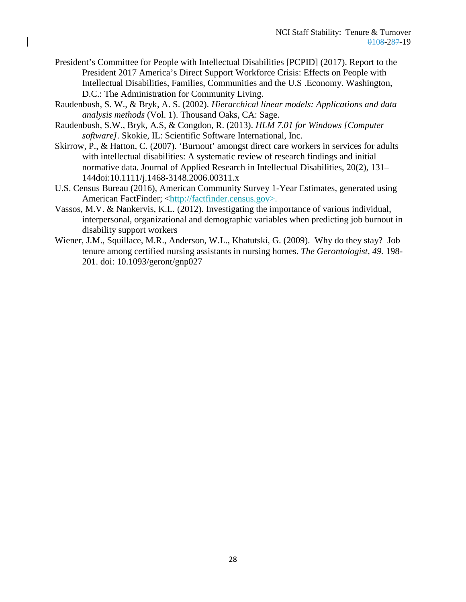- President's Committee for People with Intellectual Disabilities [PCPID] (2017). Report to the President 2017 America's Direct Support Workforce Crisis: Effects on People with Intellectual Disabilities, Families, Communities and the U.S .Economy. Washington, D.C.: The Administration for Community Living.
- Raudenbush, S. W., & Bryk, A. S. (2002). *Hierarchical linear models: Applications and data analysis methods* (Vol. 1). Thousand Oaks, CA: Sage.
- Raudenbush, S.W., Bryk, A.S, & Congdon, R. (2013). *HLM 7.01 for Windows [Computer software].* Skokie, IL: Scientific Software International, Inc.
- Skirrow, P., & Hatton, C. (2007). 'Burnout' amongst direct care workers in services for adults with intellectual disabilities: A systematic review of research findings and initial normative data. Journal of Applied Research in Intellectual Disabilities, 20(2), 131– 144doi:10.1111/j.1468-3148.2006.00311.x
- U.S. Census Bureau (2016), American Community Survey 1-Year Estimates, generated using American FactFinder; [<http://factfinder.census.gov>](https://factfinder.census.gov/).
- Vassos, M.V. & Nankervis, K.L. (2012). Investigating the importance of various individual, interpersonal, organizational and demographic variables when predicting job burnout in disability support workers
- Wiener, J.M., Squillace, M.R., Anderson, W.L., Khatutski, G. (2009). Why do they stay? Job tenure among certified nursing assistants in nursing homes. *The Gerontologist, 49.* 198- 201. doi: 10.1093/geront/gnp027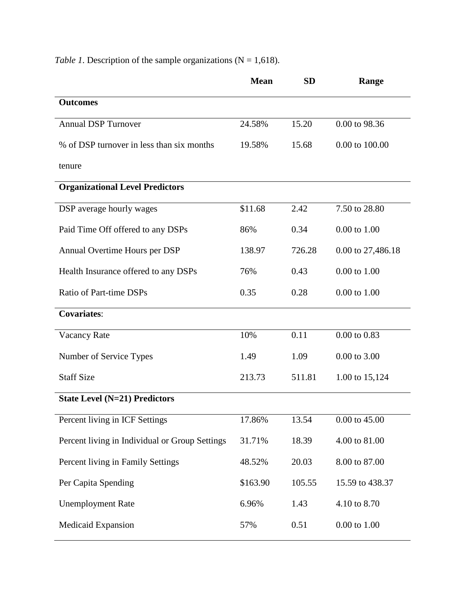|                                                | <b>Mean</b> | <b>SD</b> | Range             |
|------------------------------------------------|-------------|-----------|-------------------|
| <b>Outcomes</b>                                |             |           |                   |
| <b>Annual DSP Turnover</b>                     | 24.58%      | 15.20     | 0.00 to 98.36     |
| % of DSP turnover in less than six months      | 19.58%      | 15.68     | 0.00 to 100.00    |
| tenure                                         |             |           |                   |
| <b>Organizational Level Predictors</b>         |             |           |                   |
| DSP average hourly wages                       | \$11.68     | 2.42      | 7.50 to 28.80     |
| Paid Time Off offered to any DSPs              | 86%         | 0.34      | $0.00$ to $1.00$  |
| Annual Overtime Hours per DSP                  | 138.97      | 726.28    | 0.00 to 27,486.18 |
| Health Insurance offered to any DSPs           | 76%         | 0.43      | $0.00$ to $1.00$  |
| Ratio of Part-time DSPs                        | 0.35        | 0.28      | $0.00$ to $1.00$  |
| <b>Covariates:</b>                             |             |           |                   |
| Vacancy Rate                                   | 10%         | 0.11      | $0.00$ to $0.83$  |
| Number of Service Types                        | 1.49        | 1.09      | $0.00$ to $3.00$  |
| <b>Staff Size</b>                              | 213.73      | 511.81    | 1.00 to 15,124    |
| <b>State Level (N=21) Predictors</b>           |             |           |                   |
| Percent living in ICF Settings                 | 17.86%      | 13.54     | $0.00$ to $45.00$ |
| Percent living in Individual or Group Settings | 31.71%      | 18.39     | 4.00 to 81.00     |
| Percent living in Family Settings              | 48.52%      | 20.03     | 8.00 to 87.00     |
| Per Capita Spending                            | \$163.90    | 105.55    | 15.59 to 438.37   |
| <b>Unemployment Rate</b>                       | 6.96%       | 1.43      | 4.10 to 8.70      |
| Medicaid Expansion                             | 57%         | 0.51      | $0.00$ to $1.00$  |

*Table 1*. Description of the sample organizations ( $N = 1,618$ ).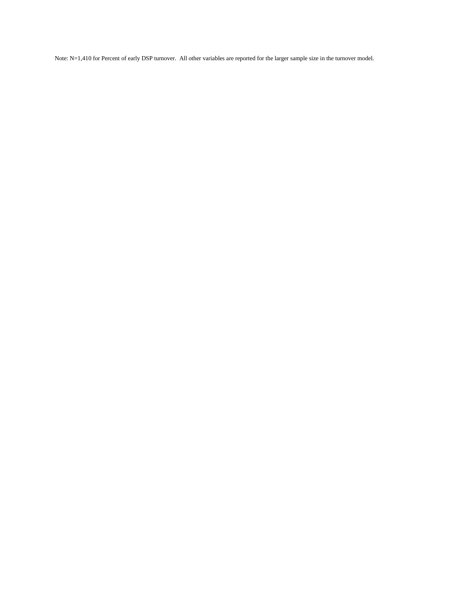Note: N=1,410 for Percent of early DSP turnover. All other variables are reported for the larger sample size in the turnover model.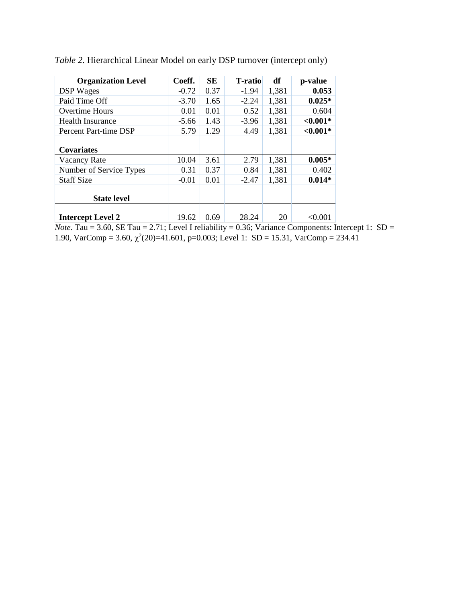| <b>Organization Level</b> | Coeff.  | <b>SE</b> | <b>T</b> -ratio | df    | p-value    |
|---------------------------|---------|-----------|-----------------|-------|------------|
| <b>DSP</b> Wages          | $-0.72$ | 0.37      | $-1.94$         | 1,381 | 0.053      |
| Paid Time Off             | $-3.70$ | 1.65      | $-2.24$         | 1,381 | $0.025*$   |
| <b>Overtime Hours</b>     | 0.01    | 0.01      | 0.52            | 1,381 | 0.604      |
| Health Insurance          | $-5.66$ | 1.43      | $-3.96$         | 1,381 | $< 0.001*$ |
| Percent Part-time DSP     | 5.79    | 1.29      | 4.49            | 1,381 | $< 0.001*$ |
| <b>Covariates</b>         |         |           |                 |       |            |
| Vacancy Rate              | 10.04   | 3.61      | 2.79            | 1,381 | $0.005*$   |
| Number of Service Types   | 0.31    | 0.37      | 0.84            | 1,381 | 0.402      |
| <b>Staff Size</b>         | $-0.01$ | 0.01      | $-2.47$         | 1,381 | $0.014*$   |
| <b>State level</b>        |         |           |                 |       |            |
| <b>Intercept Level 2</b>  | 19.62   | 0.69      | 28.24           | 20    | < 0.001    |

*Table 2*. Hierarchical Linear Model on early DSP turnover (intercept only)

*Note*. Tau = 3.60, SE Tau = 2.71; Level I reliability = 0.36; Variance Components: Intercept 1: SD = 1.90, VarComp = 3.60,  $\chi^2(20)$ =41.601, p=0.003; Level 1: SD = 15.31, VarComp = 234.41